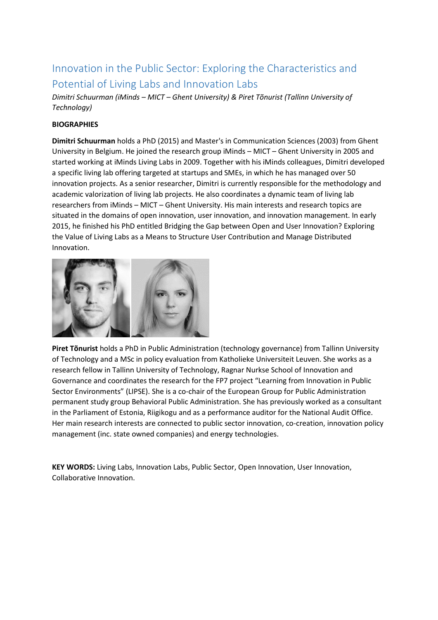# Innovation in the Public Sector: Exploring the Characteristics and Potential of Living Labs and Innovation Labs

*Dimitri Schuurman (iMinds – MICT – Ghent University) & Piret Tõnurist (Tallinn University of Technology)*

# **BIOGRAPHIES**

**Dimitri Schuurman** holds a PhD (2015) and Master's in Communication Sciences (2003) from Ghent University in Belgium. He joined the research group iMinds – MICT – Ghent University in 2005 and started working at iMinds Living Labs in 2009. Together with his iMinds colleagues, Dimitri developed a specific living lab offering targeted at startups and SMEs, in which he has managed over 50 innovation projects. As a senior researcher, Dimitri is currently responsible for the methodology and academic valorization of living lab projects. He also coordinates a dynamic team of living lab researchers from iMinds – MICT – Ghent University. His main interests and research topics are situated in the domains of open innovation, user innovation, and innovation management. In early 2015, he finished his PhD entitled Bridging the Gap between Open and User Innovation? Exploring the Value of Living Labs as a Means to Structure User Contribution and Manage Distributed Innovation.



**Piret Tõnurist** holds a PhD in Public Administration (technology governance) from Tallinn University of Technology and a MSc in policy evaluation from Katholieke Universiteit Leuven. She works as a research fellow in Tallinn University of Technology, Ragnar Nurkse School of Innovation and Governance and coordinates the research for the FP7 project "Learning from Innovation in Public Sector Environments" (LIPSE). She is a co-chair of the European Group for Public Administration permanent study group Behavioral Public Administration. She has previously worked as a consultant in the Parliament of Estonia, Riigikogu and as a performance auditor for the National Audit Office. Her main research interests are connected to public sector innovation, co-creation, innovation policy management (inc. state owned companies) and energy technologies.

**KEY WORDS:** Living Labs, Innovation Labs, Public Sector, Open Innovation, User Innovation, Collaborative Innovation.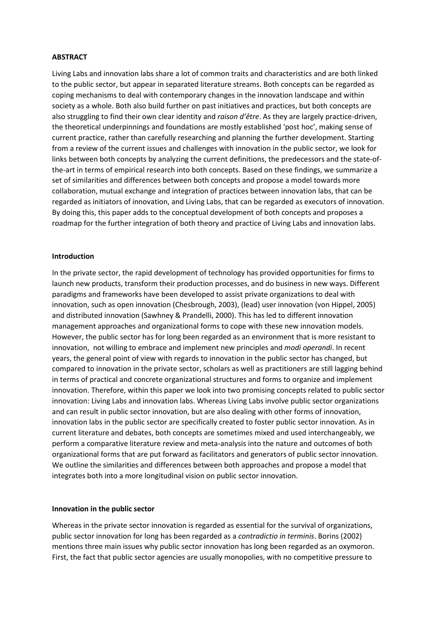## **ABSTRACT**

Living Labs and innovation labs share a lot of common traits and characteristics and are both linked to the public sector, but appear in separated literature streams. Both concepts can be regarded as coping mechanisms to deal with contemporary changes in the innovation landscape and within society as a whole. Both also build further on past initiatives and practices, but both concepts are also struggling to find their own clear identity and *raison d'être*. As they are largely practice-driven, the theoretical underpinnings and foundations are mostly established 'post hoc', making sense of current practice, rather than carefully researching and planning the further development. Starting from a review of the current issues and challenges with innovation in the public sector, we look for links between both concepts by analyzing the current definitions, the predecessors and the state-ofthe-art in terms of empirical research into both concepts. Based on these findings, we summarize a set of similarities and differences between both concepts and propose a model towards more collaboration, mutual exchange and integration of practices between innovation labs, that can be regarded as initiators of innovation, and Living Labs, that can be regarded as executors of innovation. By doing this, this paper adds to the conceptual development of both concepts and proposes a roadmap for the further integration of both theory and practice of Living Labs and innovation labs.

### **Introduction**

In the private sector, the rapid development of technology has provided opportunities for firms to launch new products, transform their production processes, and do business in new ways. Different paradigms and frameworks have been developed to assist private organizations to deal with innovation, such as open innovation (Chesbrough, 2003), (lead) user innovation (von Hippel, 2005) and distributed innovation (Sawhney & Prandelli, 2000). This has led to different innovation management approaches and organizational forms to cope with these new innovation models. However, the public sector has for long been regarded as an environment that is more resistant to innovation, not willing to embrace and implement new principles and *modi operandi*. In recent years, the general point of view with regards to innovation in the public sector has changed, but compared to innovation in the private sector, scholars as well as practitioners are still lagging behind in terms of practical and concrete organizational structures and forms to organize and implement innovation. Therefore, within this paper we look into two promising concepts related to public sector innovation: Living Labs and innovation labs. Whereas Living Labs involve public sector organizations and can result in public sector innovation, but are also dealing with other forms of innovation, innovation labs in the public sector are specifically created to foster public sector innovation. As in current literature and debates, both concepts are sometimes mixed and used interchangeably, we perform a comparative literature review and meta-analysis into the nature and outcomes of both organizational forms that are put forward as facilitators and generators of public sector innovation. We outline the similarities and differences between both approaches and propose a model that integrates both into a more longitudinal vision on public sector innovation.

#### **Innovation in the public sector**

Whereas in the private sector innovation is regarded as essential for the survival of organizations, public sector innovation for long has been regarded as a *contradictio in terminis*. Borins (2002) mentions three main issues why public sector innovation has long been regarded as an oxymoron. First, the fact that public sector agencies are usually monopolies, with no competitive pressure to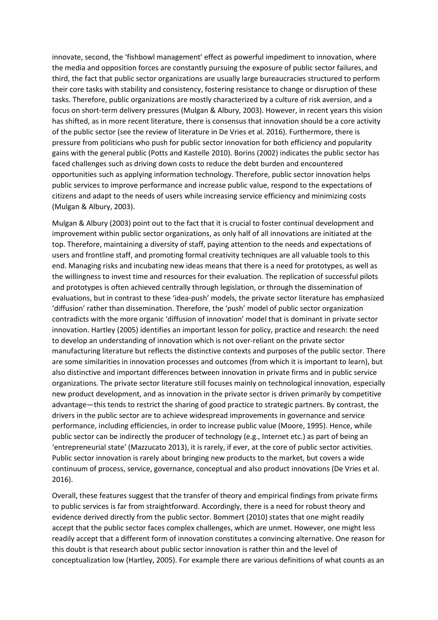innovate, second, the 'fishbowl management' effect as powerful impediment to innovation, where the media and opposition forces are constantly pursuing the exposure of public sector failures, and third, the fact that public sector organizations are usually large bureaucracies structured to perform their core tasks with stability and consistency, fostering resistance to change or disruption of these tasks. Therefore, public organizations are mostly characterized by a culture of risk aversion, and a focus on short-term delivery pressures (Mulgan & Albury, 2003). However, in recent years this vision has shifted, as in more recent literature, there is consensus that innovation should be a core activity of the public sector (see the review of literature in De Vries et al. 2016). Furthermore, there is pressure from politicians who push for public sector innovation for both efficiency and popularity gains with the general public (Potts and Kastelle 2010). Borins (2002) indicates the public sector has faced challenges such as driving down costs to reduce the debt burden and encountered opportunities such as applying information technology. Therefore, public sector innovation helps public services to improve performance and increase public value, respond to the expectations of citizens and adapt to the needs of users while increasing service efficiency and minimizing costs (Mulgan & Albury, 2003).

Mulgan & Albury (2003) point out to the fact that it is crucial to foster continual development and improvement within public sector organizations, as only half of all innovations are initiated at the top. Therefore, maintaining a diversity of staff, paying attention to the needs and expectations of users and frontline staff, and promoting formal creativity techniques are all valuable tools to this end. Managing risks and incubating new ideas means that there is a need for prototypes, as well as the willingness to invest time and resources for their evaluation. The replication of successful pilots and prototypes is often achieved centrally through legislation, or through the dissemination of evaluations, but in contrast to these 'idea-push' models, the private sector literature has emphasized 'diffusion' rather than dissemination. Therefore, the 'push' model of public sector organization contradicts with the more organic 'diffusion of innovation' model that is dominant in private sector innovation. Hartley (2005) identifies an important lesson for policy, practice and research: the need to develop an understanding of innovation which is not over-reliant on the private sector manufacturing literature but reflects the distinctive contexts and purposes of the public sector. There are some similarities in innovation processes and outcomes (from which it is important to learn), but also distinctive and important differences between innovation in private firms and in public service organizations. The private sector literature still focuses mainly on technological innovation, especially new product development, and as innovation in the private sector is driven primarily by competitive advantage—this tends to restrict the sharing of good practice to strategic partners. By contrast, the drivers in the public sector are to achieve widespread improvements in governance and service performance, including efficiencies, in order to increase public value (Moore, 1995). Hence, while public sector can be indirectly the producer of technology (e.g., Internet etc.) as part of being an 'entrepreneurial state' (Mazzucato 2013), it is rarely, if ever, at the core of public sector activities. Public sector innovation is rarely about bringing new products to the market, but covers a wide continuum of process, service, governance, conceptual and also product innovations (De Vries et al. 2016).

Overall, these features suggest that the transfer of theory and empirical findings from private firms to public services is far from straightforward. Accordingly, there is a need for robust theory and evidence derived directly from the public sector. Bommert (2010) states that one might readily accept that the public sector faces complex challenges, which are unmet. However, one might less readily accept that a different form of innovation constitutes a convincing alternative. One reason for this doubt is that research about public sector innovation is rather thin and the level of conceptualization low (Hartley, 2005). For example there are various definitions of what counts as an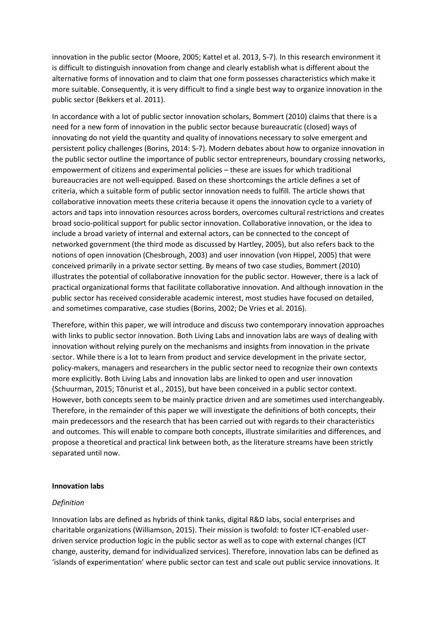innovation in the public sector (Moore, 2005; Kattel et al. 2013, 5-7). In this research environment it is difficult to distinguish innovation from change and clearly establish what is different about the alternative forms of innovation and to claim that one form possesses characteristics which make it more suitable. Consequently, it is very difficult to find a single best way to organize innovation in the public sector (Bekkers et al. 2011).

In accordance with a lot of public sector innovation scholars, Bommert (2010) claims that there is a need for a new form of innovation in the public sector because bureaucratic (closed) ways of innovating do not yield the quantity and quality of innovations necessary to solve emergent and persistent policy challenges (Borins, 2014: 5-7). Modern debates about how to organize innovation in the public sector outline the importance of public sector entrepreneurs, boundary crossing networks, empowerment of citizens and experimental policies – these are issues for which traditional bureaucracies are not well-equipped. Based on these shortcomings the article defines a set of criteria, which a suitable form of public sector innovation needs to fulfill. The article shows that collaborative innovation meets these criteria because it opens the innovation cycle to a variety of actors and taps into innovation resources across borders, overcomes cultural restrictions and creates broad socio-political support for public sector innovation. Collaborative innovation, or the idea to include a broad variety of internal and external actors, can be connected to the concept of networked government (the third mode as discussed by Hartley, 2005), but also refers back to the notions of open innovation (Chesbrough, 2003) and user innovation (von Hippel, 2005) that were conceived primarily in a private sector setting. By means of two case studies, Bommert (2010) illustrates the potential of collaborative innovation for the public sector. However, there is a lack of practical organizational forms that facilitate collaborative innovation. And although innovation in the public sector has received considerable academic interest, most studies have focused on detailed, and sometimes comparative, case studies (Borins, 2002; De Vries et al. 2016).

Therefore, within this paper, we will introduce and discuss two contemporary innovation approaches with links to public sector innovation. Both Living Labs and innovation labs are ways of dealing with innovation without relying purely on the mechanisms and insights from innovation in the private sector. While there is a lot to learn from product and service development in the private sector, policy-makers, managers and researchers in the public sector need to recognize their own contexts more explicitly. Both Living Labs and innovation labs are linked to open and user innovation (Schuurman, 2015; Tõnurist et al., 2015), but have been conceived in a public sector context. However, both concepts seem to be mainly practice driven and are sometimes used interchangeably. Therefore, in the remainder of this paper we will investigate the definitions of both concepts, their main predecessors and the research that has been carried out with regards to their characteristics and outcomes. This will enable to compare both concepts, illustrate similarities and differences, and propose a theoretical and practical link between both, as the literature streams have been strictly separated until now.

## **Innovation labs**

## *Definition*

Innovation labs are defined as hybrids of think tanks, digital R&D labs, social enterprises and charitable organizations (Williamson, 2015). Their mission is twofold: to foster ICT-enabled userdriven service production logic in the public sector as well as to cope with external changes (ICT change, austerity, demand for individualized services). Therefore, innovation labs can be defined as 'islands of experimentation' where public sector can test and scale out public service innovations. It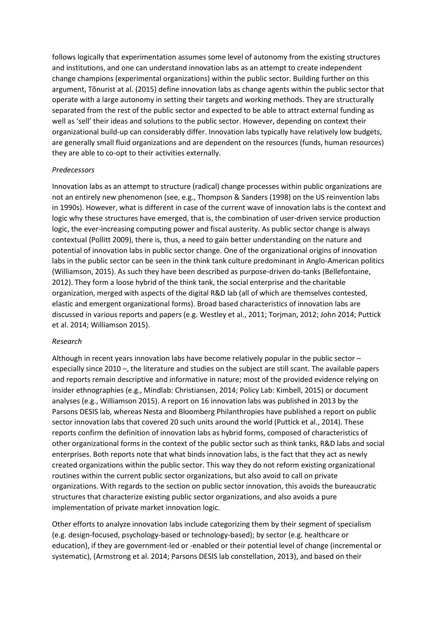follows logically that experimentation assumes some level of autonomy from the existing structures and institutions, and one can understand innovation labs as an attempt to create independent change champions (experimental organizations) within the public sector. Building further on this argument, Tõnurist at al. (2015) define innovation labs as change agents within the public sector that operate with a large autonomy in setting their targets and working methods. They are structurally separated from the rest of the public sector and expected to be able to attract external funding as well as 'sell' their ideas and solutions to the public sector. However, depending on context their organizational build-up can considerably differ. Innovation labs typically have relatively low budgets, are generally small fluid organizations and are dependent on the resources (funds, human resources) they are able to co-opt to their activities externally.

## *Predecessors*

Innovation labs as an attempt to structure (radical) change processes within public organizations are not an entirely new phenomenon (see, e.g., Thompson & Sanders (1998) on the US reinvention labs in 1990s). However, what is different in case of the current wave of innovation labs is the context and logic why these structures have emerged, that is, the combination of user-driven service production logic, the ever-increasing computing power and fiscal austerity. As public sector change is always contextual (Pollitt 2009), there is, thus, a need to gain better understanding on the nature and potential of innovation labs in public sector change. One of the organizational origins of innovation labs in the public sector can be seen in the think tank culture predominant in Anglo-American politics (Williamson, 2015). As such they have been described as purpose-driven do-tanks (Bellefontaine, 2012). They form a loose hybrid of the think tank, the social enterprise and the charitable organization, merged with aspects of the digital R&D lab (all of which are themselves contested, elastic and emergent organizational forms). Broad based characteristics of innovation labs are discussed in various reports and papers (e.g. Westley et al., 2011; Torjman, 2012; John 2014; Puttick et al. 2014; Williamson 2015).

# *Research*

Although in recent years innovation labs have become relatively popular in the public sector – especially since 2010 –, the literature and studies on the subject are still scant. The available papers and reports remain descriptive and informative in nature; most of the provided evidence relying on insider ethnographies (e.g., Mindlab: Christiansen, 2014; Policy Lab: Kimbell, 2015) or document analyses (e.g., Williamson 2015). A report on 16 innovation labs was published in 2013 by the Parsons DESIS lab, whereas Nesta and Bloomberg Philanthropies have published a report on public sector innovation labs that covered 20 such units around the world (Puttick et al., 2014). These reports confirm the definition of innovation labs as hybrid forms, composed of characteristics of other organizational forms in the context of the public sector such as think tanks, R&D labs and social enterprises. Both reports note that what binds innovation labs, is the fact that they act as newly created organizations within the public sector. This way they do not reform existing organizational routines within the current public sector organizations, but also avoid to call on private organizations. With regards to the section on public sector innovation, this avoids the bureaucratic structures that characterize existing public sector organizations, and also avoids a pure implementation of private market innovation logic.

Other efforts to analyze innovation labs include categorizing them by their segment of specialism (e.g. design-focused, psychology-based or technology-based); by sector (e.g. healthcare or education), if they are government-led or -enabled or their potential level of change (incremental or systematic), (Armstrong et al. 2014; Parsons DESIS lab constellation, 2013), and based on their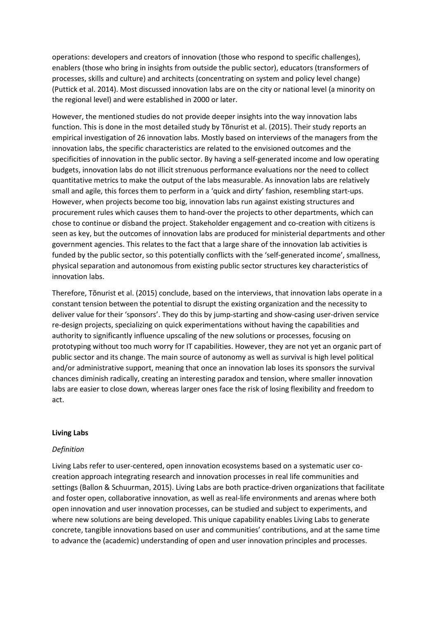operations: developers and creators of innovation (those who respond to specific challenges), enablers (those who bring in insights from outside the public sector), educators (transformers of processes, skills and culture) and architects (concentrating on system and policy level change) (Puttick et al. 2014). Most discussed innovation labs are on the city or national level (a minority on the regional level) and were established in 2000 or later.

However, the mentioned studies do not provide deeper insights into the way innovation labs function. This is done in the most detailed study by Tõnurist et al. (2015). Their study reports an empirical investigation of 26 innovation labs. Mostly based on interviews of the managers from the innovation labs, the specific characteristics are related to the envisioned outcomes and the specificities of innovation in the public sector. By having a self-generated income and low operating budgets, innovation labs do not illicit strenuous performance evaluations nor the need to collect quantitative metrics to make the output of the labs measurable. As innovation labs are relatively small and agile, this forces them to perform in a 'quick and dirty' fashion, resembling start-ups. However, when projects become too big, innovation labs run against existing structures and procurement rules which causes them to hand-over the projects to other departments, which can chose to continue or disband the project. Stakeholder engagement and co-creation with citizens is seen as key, but the outcomes of innovation labs are produced for ministerial departments and other government agencies. This relates to the fact that a large share of the innovation lab activities is funded by the public sector, so this potentially conflicts with the 'self-generated income', smallness, physical separation and autonomous from existing public sector structures key characteristics of innovation labs.

Therefore, Tõnurist et al. (2015) conclude, based on the interviews, that innovation labs operate in a constant tension between the potential to disrupt the existing organization and the necessity to deliver value for their 'sponsors'. They do this by jump-starting and show-casing user-driven service re-design projects, specializing on quick experimentations without having the capabilities and authority to significantly influence upscaling of the new solutions or processes, focusing on prototyping without too much worry for IT capabilities. However, they are not yet an organic part of public sector and its change. The main source of autonomy as well as survival is high level political and/or administrative support, meaning that once an innovation lab loses its sponsors the survival chances diminish radically, creating an interesting paradox and tension, where smaller innovation labs are easier to close down, whereas larger ones face the risk of losing flexibility and freedom to act.

## **Living Labs**

## *Definition*

Living Labs refer to user-centered, open innovation ecosystems based on a systematic user cocreation approach integrating research and innovation processes in real life communities and settings (Ballon & Schuurman, 2015). Living Labs are both practice-driven organizations that facilitate and foster open, collaborative innovation, as well as real-life environments and arenas where both open innovation and user innovation processes, can be studied and subject to experiments, and where new solutions are being developed. This unique capability enables Living Labs to generate concrete, tangible innovations based on user and communities' contributions, and at the same time to advance the (academic) understanding of open and user innovation principles and processes.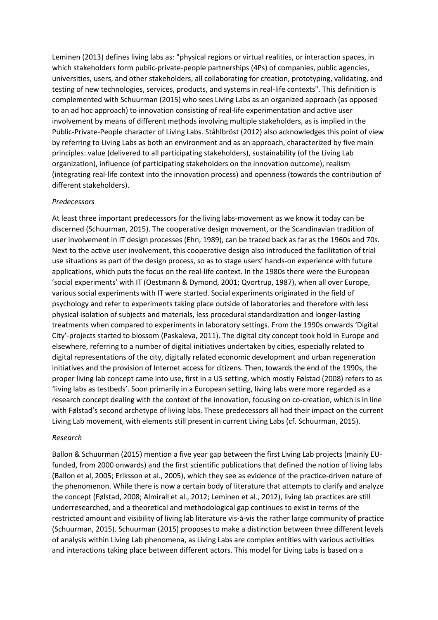Leminen (2013) defines living labs as: "physical regions or virtual realities, or interaction spaces, in which stakeholders form public-private-people partnerships (4Ps) of companies, public agencies, universities, users, and other stakeholders, all collaborating for creation, prototyping, validating, and testing of new technologies, services, products, and systems in real-life contexts". This definition is complemented with Schuurman (2015) who sees Living Labs as an organized approach (as opposed to an ad hoc approach) to innovation consisting of real-life experimentation and active user involvement by means of different methods involving multiple stakeholders, as is implied in the Public-Private-People character of Living Labs. Ståhlbröst (2012) also acknowledges this point of view by referring to Living Labs as both an environment and as an approach, characterized by five main principles: value (delivered to all participating stakeholders), sustainability (of the Living Lab organization), influence (of participating stakeholders on the innovation outcome), realism (integrating real-life context into the innovation process) and openness (towards the contribution of different stakeholders).

## *Predecessors*

At least three important predecessors for the living labs-movement as we know it today can be discerned (Schuurman, 2015). The cooperative design movement, or the Scandinavian tradition of user involvement in IT design processes (Ehn, 1989), can be traced back as far as the 1960s and 70s. Next to the active user involvement, this cooperative design also introduced the facilitation of trial use situations as part of the design process, so as to stage users' hands-on experience with future applications, which puts the focus on the real-life context. In the 1980s there were the European 'social experiments' with IT (Oestmann & Dymond, 2001; Qvortrup, 1987), when all over Europe, various social experiments with IT were started. Social experiments originated in the field of psychology and refer to experiments taking place outside of laboratories and therefore with less physical isolation of subjects and materials, less procedural standardization and longer-lasting treatments when compared to experiments in laboratory settings. From the 1990s onwards 'Digital City'-projects started to blossom (Paskaleva, 2011). The digital city concept took hold in Europe and elsewhere, referring to a number of digital initiatives undertaken by cities, especially related to digital representations of the city, digitally related economic development and urban regeneration initiatives and the provision of Internet access for citizens. Then, towards the end of the 1990s, the proper living lab concept came into use, first in a US setting, which mostly Følstad (2008) refers to as 'living labs as testbeds'. Soon primarily in a European setting, living labs were more regarded as a research concept dealing with the context of the innovation, focusing on co-creation, which is in line with Følstad's second archetype of living labs. These predecessors all had their impact on the current Living Lab movement, with elements still present in current Living Labs (cf. Schuurman, 2015).

### *Research*

Ballon & Schuurman (2015) mention a five year gap between the first Living Lab projects (mainly EUfunded, from 2000 onwards) and the first scientific publications that defined the notion of living labs (Ballon et al, 2005; Eriksson et al., 2005), which they see as evidence of the practice-driven nature of the phenomenon. While there is now a certain body of literature that attempts to clarify and analyze the concept (Følstad, 2008; Almirall et al., 2012; Leminen et al., 2012), living lab practices are still underresearched, and a theoretical and methodological gap continues to exist in terms of the restricted amount and visibility of living lab literature vis-à-vis the rather large community of practice (Schuurman, 2015). Schuurman (2015) proposes to make a distinction between three different levels of analysis within Living Lab phenomena, as Living Labs are complex entities with various activities and interactions taking place between different actors. This model for Living Labs is based on a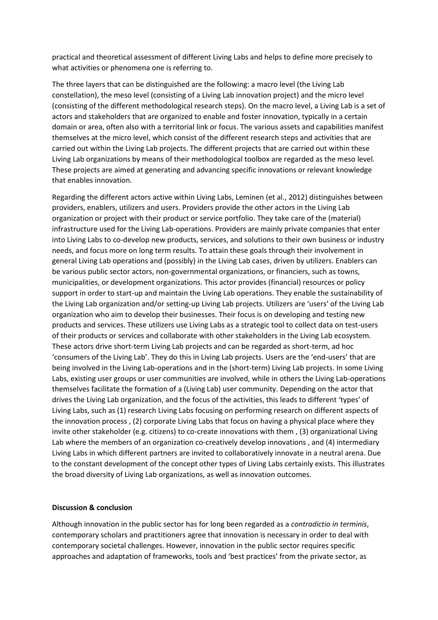practical and theoretical assessment of different Living Labs and helps to define more precisely to what activities or phenomena one is referring to.

The three layers that can be distinguished are the following: a macro level (the Living Lab constellation), the meso level (consisting of a Living Lab innovation project) and the micro level (consisting of the different methodological research steps). On the macro level, a Living Lab is a set of actors and stakeholders that are organized to enable and foster innovation, typically in a certain domain or area, often also with a territorial link or focus. The various assets and capabilities manifest themselves at the micro level, which consist of the different research steps and activities that are carried out within the Living Lab projects. The different projects that are carried out within these Living Lab organizations by means of their methodological toolbox are regarded as the meso level. These projects are aimed at generating and advancing specific innovations or relevant knowledge that enables innovation.

Regarding the different actors active within Living Labs, Leminen (et al., 2012) distinguishes between providers, enablers, utilizers and users. Providers provide the other actors in the Living Lab organization or project with their product or service portfolio. They take care of the (material) infrastructure used for the Living Lab-operations. Providers are mainly private companies that enter into Living Labs to co-develop new products, services, and solutions to their own business or industry needs, and focus more on long term results. To attain these goals through their involvement in general Living Lab operations and (possibly) in the Living Lab cases, driven by utilizers. Enablers can be various public sector actors, non-governmental organizations, or financiers, such as towns, municipalities, or development organizations. This actor provides (financial) resources or policy support in order to start-up and maintain the Living Lab operations. They enable the sustainability of the Living Lab organization and/or setting-up Living Lab projects. Utilizers are 'users' of the Living Lab organization who aim to develop their businesses. Their focus is on developing and testing new products and services. These utilizers use Living Labs as a strategic tool to collect data on test-users of their products or services and collaborate with other stakeholders in the Living Lab ecosystem. These actors drive short-term Living Lab projects and can be regarded as short-term, ad hoc 'consumers of the Living Lab'. They do this in Living Lab projects. Users are the 'end-users' that are being involved in the Living Lab-operations and in the (short-term) Living Lab projects. In some Living Labs, existing user groups or user communities are involved, while in others the Living Lab-operations themselves facilitate the formation of a (Living Lab) user community. Depending on the actor that drives the Living Lab organization, and the focus of the activities, this leads to different 'types' of Living Labs, such as (1) research Living Labs focusing on performing research on different aspects of the innovation process , (2) corporate Living Labs that focus on having a physical place where they invite other stakeholder (e.g. citizens) to co-create innovations with them , (3) organizational Living Lab where the members of an organization co-creatively develop innovations , and (4) intermediary Living Labs in which different partners are invited to collaboratively innovate in a neutral arena. Due to the constant development of the concept other types of Living Labs certainly exists. This illustrates the broad diversity of Living Lab organizations, as well as innovation outcomes.

## **Discussion & conclusion**

Although innovation in the public sector has for long been regarded as a *contradictio in terminis*, contemporary scholars and practitioners agree that innovation is necessary in order to deal with contemporary societal challenges. However, innovation in the public sector requires specific approaches and adaptation of frameworks, tools and 'best practices' from the private sector, as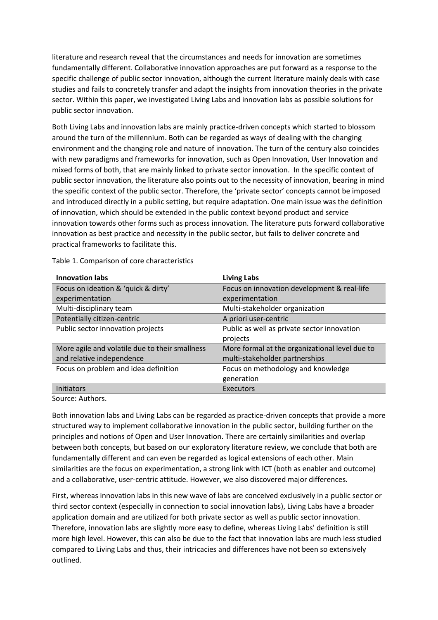literature and research reveal that the circumstances and needs for innovation are sometimes fundamentally different. Collaborative innovation approaches are put forward as a response to the specific challenge of public sector innovation, although the current literature mainly deals with case studies and fails to concretely transfer and adapt the insights from innovation theories in the private sector. Within this paper, we investigated Living Labs and innovation labs as possible solutions for public sector innovation.

Both Living Labs and innovation labs are mainly practice-driven concepts which started to blossom around the turn of the millennium. Both can be regarded as ways of dealing with the changing environment and the changing role and nature of innovation. The turn of the century also coincides with new paradigms and frameworks for innovation, such as Open Innovation, User Innovation and mixed forms of both, that are mainly linked to private sector innovation. In the specific context of public sector innovation, the literature also points out to the necessity of innovation, bearing in mind the specific context of the public sector. Therefore, the 'private sector' concepts cannot be imposed and introduced directly in a public setting, but require adaptation. One main issue was the definition of innovation, which should be extended in the public context beyond product and service innovation towards other forms such as process innovation. The literature puts forward collaborative innovation as best practice and necessity in the public sector, but fails to deliver concrete and practical frameworks to facilitate this.

| <b>Innovation labs</b>                         | <b>Living Labs</b>                             |
|------------------------------------------------|------------------------------------------------|
| Focus on ideation & 'quick & dirty'            | Focus on innovation development & real-life    |
| experimentation                                | experimentation                                |
| Multi-disciplinary team                        | Multi-stakeholder organization                 |
| Potentially citizen-centric                    | A priori user-centric                          |
| Public sector innovation projects              | Public as well as private sector innovation    |
|                                                | projects                                       |
| More agile and volatile due to their smallness | More formal at the organizational level due to |
| and relative independence                      | multi-stakeholder partnerships                 |
| Focus on problem and idea definition           | Focus on methodology and knowledge             |
|                                                | generation                                     |
| <b>Initiators</b>                              | Executors                                      |

Table 1. Comparison of core characteristics

Source: Authors.

Both innovation labs and Living Labs can be regarded as practice-driven concepts that provide a more structured way to implement collaborative innovation in the public sector, building further on the principles and notions of Open and User Innovation. There are certainly similarities and overlap between both concepts, but based on our exploratory literature review, we conclude that both are fundamentally different and can even be regarded as logical extensions of each other. Main similarities are the focus on experimentation, a strong link with ICT (both as enabler and outcome) and a collaborative, user-centric attitude. However, we also discovered major differences.

First, whereas innovation labs in this new wave of labs are conceived exclusively in a public sector or third sector context (especially in connection to social innovation labs), Living Labs have a broader application domain and are utilized for both private sector as well as public sector innovation. Therefore, innovation labs are slightly more easy to define, whereas Living Labs' definition is still more high level. However, this can also be due to the fact that innovation labs are much less studied compared to Living Labs and thus, their intricacies and differences have not been so extensively outlined.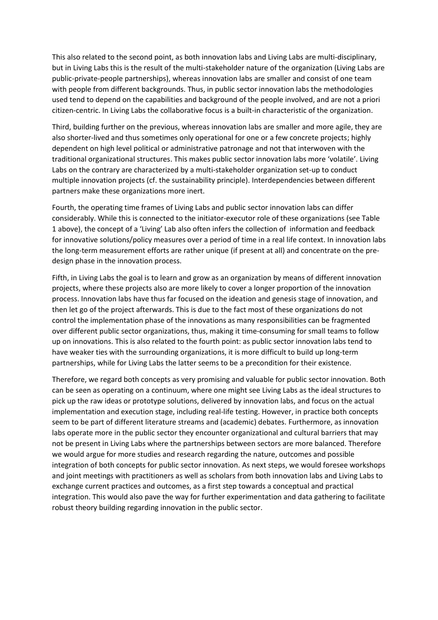This also related to the second point, as both innovation labs and Living Labs are multi-disciplinary, but in Living Labs this is the result of the multi-stakeholder nature of the organization (Living Labs are public-private-people partnerships), whereas innovation labs are smaller and consist of one team with people from different backgrounds. Thus, in public sector innovation labs the methodologies used tend to depend on the capabilities and background of the people involved, and are not a priori citizen-centric. In Living Labs the collaborative focus is a built-in characteristic of the organization.

Third, building further on the previous, whereas innovation labs are smaller and more agile, they are also shorter-lived and thus sometimes only operational for one or a few concrete projects; highly dependent on high level political or administrative patronage and not that interwoven with the traditional organizational structures. This makes public sector innovation labs more 'volatile'. Living Labs on the contrary are characterized by a multi-stakeholder organization set-up to conduct multiple innovation projects (cf. the sustainability principle). Interdependencies between different partners make these organizations more inert.

Fourth, the operating time frames of Living Labs and public sector innovation labs can differ considerably. While this is connected to the initiator-executor role of these organizations (see Table 1 above), the concept of a 'Living' Lab also often infers the collection of information and feedback for innovative solutions/policy measures over a period of time in a real life context. In innovation labs the long-term measurement efforts are rather unique (if present at all) and concentrate on the predesign phase in the innovation process.

Fifth, in Living Labs the goal is to learn and grow as an organization by means of different innovation projects, where these projects also are more likely to cover a longer proportion of the innovation process. Innovation labs have thus far focused on the ideation and genesis stage of innovation, and then let go of the project afterwards. This is due to the fact most of these organizations do not control the implementation phase of the innovations as many responsibilities can be fragmented over different public sector organizations, thus, making it time-consuming for small teams to follow up on innovations. This is also related to the fourth point: as public sector innovation labs tend to have weaker ties with the surrounding organizations, it is more difficult to build up long-term partnerships, while for Living Labs the latter seems to be a precondition for their existence.

Therefore, we regard both concepts as very promising and valuable for public sector innovation. Both can be seen as operating on a continuum, where one might see Living Labs as the ideal structures to pick up the raw ideas or prototype solutions, delivered by innovation labs, and focus on the actual implementation and execution stage, including real-life testing. However, in practice both concepts seem to be part of different literature streams and (academic) debates. Furthermore, as innovation labs operate more in the public sector they encounter organizational and cultural barriers that may not be present in Living Labs where the partnerships between sectors are more balanced. Therefore we would argue for more studies and research regarding the nature, outcomes and possible integration of both concepts for public sector innovation. As next steps, we would foresee workshops and joint meetings with practitioners as well as scholars from both innovation labs and Living Labs to exchange current practices and outcomes, as a first step towards a conceptual and practical integration. This would also pave the way for further experimentation and data gathering to facilitate robust theory building regarding innovation in the public sector.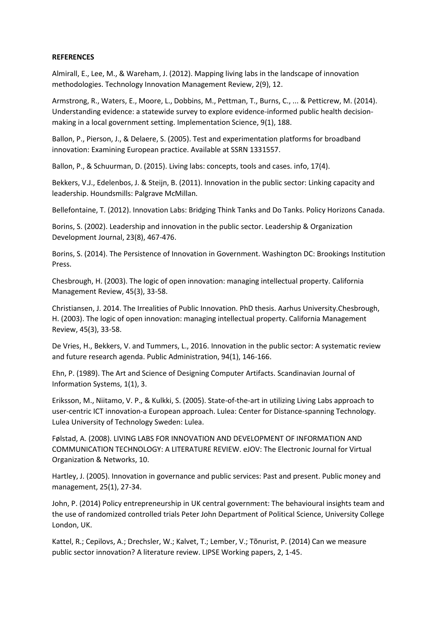## **REFERENCES**

Almirall, E., Lee, M., & Wareham, J. (2012). Mapping living labs in the landscape of innovation methodologies. Technology Innovation Management Review, 2(9), 12.

Armstrong, R., Waters, E., Moore, L., Dobbins, M., Pettman, T., Burns, C., ... & Petticrew, M. (2014). Understanding evidence: a statewide survey to explore evidence-informed public health decisionmaking in a local government setting. Implementation Science, 9(1), 188.

Ballon, P., Pierson, J., & Delaere, S. (2005). Test and experimentation platforms for broadband innovation: Examining European practice. Available at SSRN 1331557.

Ballon, P., & Schuurman, D. (2015). Living labs: concepts, tools and cases. info, 17(4).

Bekkers, V.J., Edelenbos, J. & Steijn, B. (2011). Innovation in the public sector: Linking capacity and leadership. Houndsmills: Palgrave McMillan.

Bellefontaine, T. (2012). Innovation Labs: Bridging Think Tanks and Do Tanks. Policy Horizons Canada.

Borins, S. (2002). Leadership and innovation in the public sector. Leadership & Organization Development Journal, 23(8), 467-476.

Borins, S. (2014). The Persistence of Innovation in Government. Washington DC: Brookings Institution Press.

Chesbrough, H. (2003). The logic of open innovation: managing intellectual property. California Management Review, 45(3), 33-58.

Christiansen, J. 2014. The Irrealities of Public Innovation. PhD thesis. Aarhus University.Chesbrough, H. (2003). The logic of open innovation: managing intellectual property. California Management Review, 45(3), 33-58.

De Vries, H., Bekkers, V. and Tummers, L., 2016. Innovation in the public sector: A systematic review and future research agenda. Public Administration, 94(1), 146-166.

Ehn, P. (1989). The Art and Science of Designing Computer Artifacts. Scandinavian Journal of Information Systems, 1(1), 3.

Eriksson, M., Niitamo, V. P., & Kulkki, S. (2005). State-of-the-art in utilizing Living Labs approach to user-centric ICT innovation-a European approach. Lulea: Center for Distance-spanning Technology. Lulea University of Technology Sweden: Lulea.

Følstad, A. (2008). LIVING LABS FOR INNOVATION AND DEVELOPMENT OF INFORMATION AND COMMUNICATION TECHNOLOGY: A LITERATURE REVIEW. eJOV: The Electronic Journal for Virtual Organization & Networks, 10.

Hartley, J. (2005). Innovation in governance and public services: Past and present. Public money and management, 25(1), 27-34.

John, P. (2014) Policy entrepreneurship in UK central government: The behavioural insights team and the use of randomized controlled trials Peter John Department of Political Science, University College London, UK.

Kattel, R.; Cepilovs, A.; Drechsler, W.; Kalvet, T.; Lember, V.; Tõnurist, P. (2014) Can we measure public sector innovation? A literature review. LIPSE Working papers, 2, 1-45.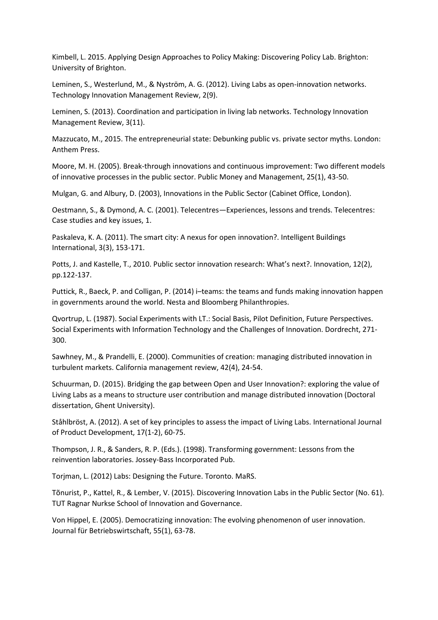Kimbell, L. 2015. Applying Design Approaches to Policy Making: Discovering Policy Lab. Brighton: University of Brighton.

Leminen, S., Westerlund, M., & Nyström, A. G. (2012). Living Labs as open-innovation networks. Technology Innovation Management Review, 2(9).

Leminen, S. (2013). Coordination and participation in living lab networks. Technology Innovation Management Review, 3(11).

Mazzucato, M., 2015. The entrepreneurial state: Debunking public vs. private sector myths. London: Anthem Press.

Moore, M. H. (2005). Break-through innovations and continuous improvement: Two different models of innovative processes in the public sector. Public Money and Management, 25(1), 43-50.

Mulgan, G. and Albury, D. (2003), Innovations in the Public Sector (Cabinet Office, London).

Oestmann, S., & Dymond, A. C. (2001). Telecentres—Experiences, lessons and trends. Telecentres: Case studies and key issues, 1.

Paskaleva, K. A. (2011). The smart city: A nexus for open innovation?. Intelligent Buildings International, 3(3), 153-171.

Potts, J. and Kastelle, T., 2010. Public sector innovation research: What's next?. Innovation, 12(2), pp.122-137.

Puttick, R., Baeck, P. and Colligan, P. (2014) i–teams: the teams and funds making innovation happen in governments around the world. Nesta and Bloomberg Philanthropies.

Qvortrup, L. (1987). Social Experiments with LT.: Social Basis, Pilot Definition, Future Perspectives. Social Experiments with Information Technology and the Challenges of Innovation. Dordrecht, 271- 300.

Sawhney, M., & Prandelli, E. (2000). Communities of creation: managing distributed innovation in turbulent markets. California management review, 42(4), 24-54.

Schuurman, D. (2015). Bridging the gap between Open and User Innovation?: exploring the value of Living Labs as a means to structure user contribution and manage distributed innovation (Doctoral dissertation, Ghent University).

Ståhlbröst, A. (2012). A set of key principles to assess the impact of Living Labs. International Journal of Product Development, 17(1-2), 60-75.

Thompson, J. R., & Sanders, R. P. (Eds.). (1998). Transforming government: Lessons from the reinvention laboratories. Jossey-Bass Incorporated Pub.

Torjman, L. (2012) Labs: Designing the Future. Toronto. MaRS.

Tõnurist, P., Kattel, R., & Lember, V. (2015). Discovering Innovation Labs in the Public Sector (No. 61). TUT Ragnar Nurkse School of Innovation and Governance.

Von Hippel, E. (2005). Democratizing innovation: The evolving phenomenon of user innovation. Journal für Betriebswirtschaft, 55(1), 63-78.